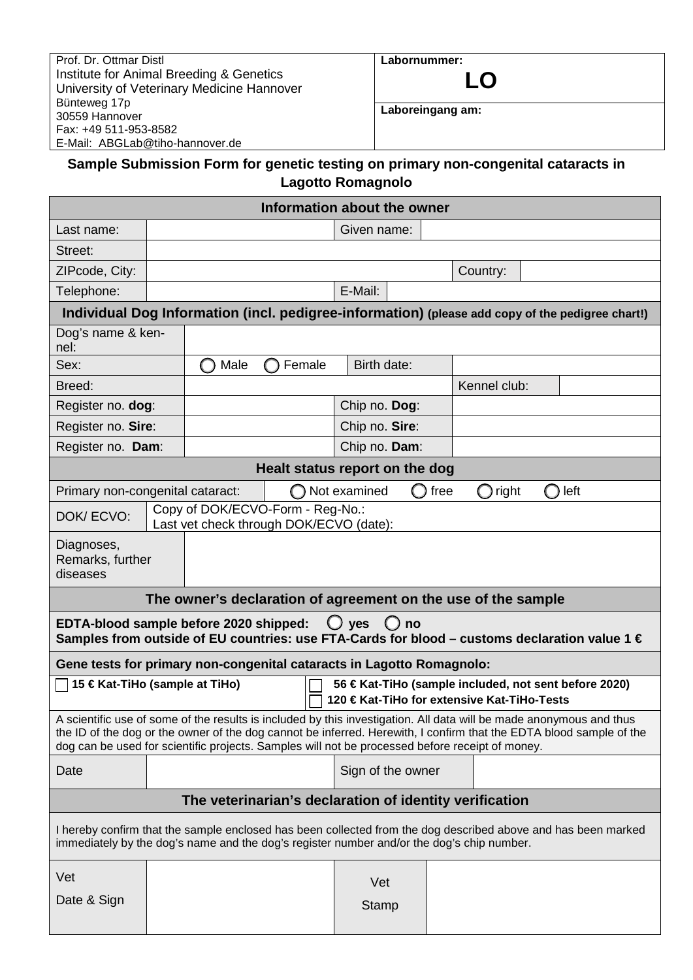| Prof. Dr. Ottmar Distl                     |
|--------------------------------------------|
| Institute for Animal Breeding & Genetics   |
| University of Veterinary Medicine Hannover |
| Bünteweg 17p                               |
| 30559 Hannover                             |
| Fax: +49 511-953-8582                      |
| E-Mail: ABGLab@tiho-hannover.de            |

# **Labornummer:**



**Laboreingang am:** 

## **Sample Submission Form for genetic testing on primary non-congenital cataracts in Lagotto Romagnolo**

|                                                                                                                                                                                                                                                                                                                                               |                                                                             |                   | Information about the owner |                       |                     |   |      |                     |     |      |
|-----------------------------------------------------------------------------------------------------------------------------------------------------------------------------------------------------------------------------------------------------------------------------------------------------------------------------------------------|-----------------------------------------------------------------------------|-------------------|-----------------------------|-----------------------|---------------------|---|------|---------------------|-----|------|
| Last name:                                                                                                                                                                                                                                                                                                                                    |                                                                             |                   |                             |                       | Given name:         |   |      |                     |     |      |
| Street:                                                                                                                                                                                                                                                                                                                                       |                                                                             |                   |                             |                       |                     |   |      |                     |     |      |
| ZIPcode, City:                                                                                                                                                                                                                                                                                                                                |                                                                             |                   |                             |                       |                     |   |      | Country:            |     |      |
| E-Mail:<br>Telephone:                                                                                                                                                                                                                                                                                                                         |                                                                             |                   |                             |                       |                     |   |      |                     |     |      |
| Individual Dog Information (incl. pedigree-information) (please add copy of the pedigree chart!)                                                                                                                                                                                                                                              |                                                                             |                   |                             |                       |                     |   |      |                     |     |      |
| Dog's name & ken-<br>nel:                                                                                                                                                                                                                                                                                                                     |                                                                             |                   |                             |                       |                     |   |      |                     |     |      |
| Sex:                                                                                                                                                                                                                                                                                                                                          |                                                                             | Male              |                             | Birth date:<br>Female |                     |   |      |                     |     |      |
| Breed:                                                                                                                                                                                                                                                                                                                                        |                                                                             |                   |                             |                       |                     |   |      | Kennel club:        |     |      |
| Register no. dog:                                                                                                                                                                                                                                                                                                                             |                                                                             |                   |                             | Chip no. Dog:         |                     |   |      |                     |     |      |
| Register no. Sire:                                                                                                                                                                                                                                                                                                                            |                                                                             |                   |                             | Chip no. Sire:        |                     |   |      |                     |     |      |
| Register no. Dam:                                                                                                                                                                                                                                                                                                                             | Chip no. Dam:                                                               |                   |                             |                       |                     |   |      |                     |     |      |
| Healt status report on the dog                                                                                                                                                                                                                                                                                                                |                                                                             |                   |                             |                       |                     |   |      |                     |     |      |
| Primary non-congenital cataract:                                                                                                                                                                                                                                                                                                              |                                                                             |                   |                             |                       | Not examined        | O | free | right<br>$\bigcirc$ | ( ) | left |
| DOK/ECVO:                                                                                                                                                                                                                                                                                                                                     | Copy of DOK/ECVO-Form - Reg-No.:<br>Last vet check through DOK/ECVO (date): |                   |                             |                       |                     |   |      |                     |     |      |
| Diagnoses,<br>Remarks, further<br>diseases                                                                                                                                                                                                                                                                                                    |                                                                             |                   |                             |                       |                     |   |      |                     |     |      |
| The owner's declaration of agreement on the use of the sample                                                                                                                                                                                                                                                                                 |                                                                             |                   |                             |                       |                     |   |      |                     |     |      |
| EDTA-blood sample before 2020 shipped:<br>$\bigcup$ yes<br>$\bigcirc$<br>no<br>Samples from outside of EU countries: use FTA-Cards for blood – customs declaration value 1 $\in$                                                                                                                                                              |                                                                             |                   |                             |                       |                     |   |      |                     |     |      |
| Gene tests for primary non-congenital cataracts in Lagotto Romagnolo:                                                                                                                                                                                                                                                                         |                                                                             |                   |                             |                       |                     |   |      |                     |     |      |
| □ 15 € Kat-TiHo (sample at TiHo)<br>56 € Kat-TiHo (sample included, not sent before 2020)<br>120 € Kat-TiHo for extensive Kat-TiHo-Tests                                                                                                                                                                                                      |                                                                             |                   |                             |                       |                     |   |      |                     |     |      |
| A scientific use of some of the results is included by this investigation. All data will be made anonymous and thus<br>the ID of the dog or the owner of the dog cannot be inferred. Herewith, I confirm that the EDTA blood sample of the<br>dog can be used for scientific projects. Samples will not be processed before receipt of money. |                                                                             |                   |                             |                       |                     |   |      |                     |     |      |
| Date                                                                                                                                                                                                                                                                                                                                          |                                                                             | Sign of the owner |                             |                       |                     |   |      |                     |     |      |
| The veterinarian's declaration of identity verification                                                                                                                                                                                                                                                                                       |                                                                             |                   |                             |                       |                     |   |      |                     |     |      |
| I hereby confirm that the sample enclosed has been collected from the dog described above and has been marked<br>immediately by the dog's name and the dog's register number and/or the dog's chip number.                                                                                                                                    |                                                                             |                   |                             |                       |                     |   |      |                     |     |      |
| Vet<br>Date & Sign                                                                                                                                                                                                                                                                                                                            |                                                                             |                   |                             |                       | Vet<br><b>Stamp</b> |   |      |                     |     |      |